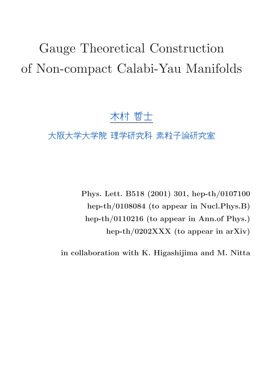# Gauge Theoretical Construction of Non-compact Calabi-Yau Manifolds

## 木村 哲士

## 大阪大学大学院 理学研究科 素粒子論研究室

Phys. Lett. B518 (2001) 301, hep-th/0107100 hep-th/0108084 (to appear in Nucl.Phys.B) hep-th/0110216 (to appear in Ann.of Phys.) hep-th/0202XXX (to appear in arXiv)

in collaboration with K. Higashijima and M. Nitta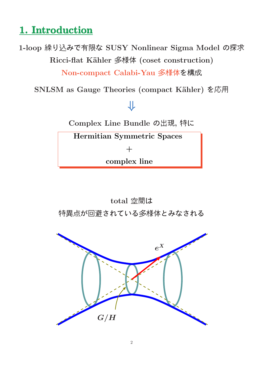## 1. Introduction

1-loop 繰り込みで有限な SUSY Nonlinear Sigma Model の探求 Ricci-flat Kähler 多様体 (coset construction)

Non-compact Calabi-Yau 多様体を構成

SNLSM as Gauge Theories (compact Kähler) を応用

# ⇓

Complex Line Bundle の出現, 特に

Hermitian Symmetric Spaces

 $+$ 

complex line

total 空間は 特異点が回避されている多様体とみなされる

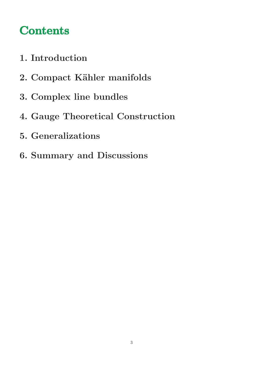# **Contents**

- 1. Introduction
- 2. Compact Kähler manifolds
- 3. Complex line bundles
- 4. Gauge Theoretical Construction
- 5. Generalizations
- 6. Summary and Discussions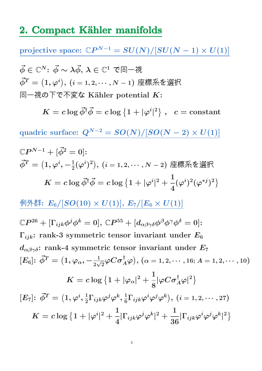### 2. Compact Kähler manifolds

 $\text{projective space: } \mathbb{C}P^{N-1} = SU(N)/[SU(N-1)\times U(1)]$  $\vec{\phi} \in \mathbb{C}^N$ :  $\vec{\phi} \sim \lambda \vec{\phi}, \, \lambda \in \mathbb{C}^1$  で同一視  $\vec{\phi}^T = \big(1, \varphi^i\big), \, (i=1,2,\cdots,N-1)$  座標系を選択 同一視の下で不変な Kähler potential  $K$ :  $K = c \log \vec{\phi}^{\dagger} \vec{\phi} = c \log \left\{ 1 + |\varphi^i| \right\}$ |  $\left\{ \begin{array}{ll} 2 \end{array} \right\} \, , \,\,\,\, c = \hbox{constant}$ quadric surface:  $Q^{N-2} = SO(N)/[SO(N-2) \times U(1)]$  $\mathbb{C}P^{N-1}+[\vec{\phi}^2=0]\mathpunct{:}$  $\vec{\phi}^T=\big(1,\varphi^i,-\frac{1}{2}(\varphi^i)^2\big),\,(i=1,2,\cdots,N-2)$  座標系を選択  $K = c \log \vec{\phi}^{\dagger} \vec{\phi} = c \log \left\{ 1 + |\varphi^i| \right\}$  $|^{2}$  + 1 4  $(\varphi^i)^2(\varphi^{*j})^2$ 例外群:  $E_6/[SO(10) \times U(1)], E_7/[E_6 \times U(1)]$  $\mathbb{C}P^{26}+[\Gamma_{ijk}\phi^{j}\phi^{k}=0],\,\mathbb{C}P^{55}+ [d_{\alpha\beta\gamma\delta}\phi^{\beta}\phi^{\gamma}\phi^{\delta}=0]$ :  $\Gamma_{ijk}$ : rank-3 symmetric tensor invariant under  $E_6$  $d_{\alpha\beta\gamma\delta}$ : rank-4 symmetric tensor invariant under  $E_7$  $[E_6] \colon \vec{\phi}^T = \big(1, \varphi_\alpha, -\frac{1}{2\sqrt{2}}\varphi C \sigma_A^\dagger\varphi \big), \, (\alpha = 1, 2, \cdots, 16; A = 1, 2, \cdots, 10)$  $K=c\log\left\{1+|\varphi_{\alpha}|^{2}+\right.$ 1 8  $|\varphi C\sigma_A^\dagger \varphi|^2\big\}$  $[E_7] \colon \, \vec{\phi}^T = \big( 1 , \varphi^i, \frac{1}{2} \big)$  $\frac{1}{2}\Gamma_{ijk}\varphi^{j}\varphi^{k},\frac{1}{6}% \varphi^{j}=\varphi^{k}+\varphi^{k}$  $\frac{1}{6}\Gamma_{ijk}\varphi^{i}\varphi^{j}\varphi^{k}\big),\ (i=1,2,\cdots,27)$  $K=c\log\left\{1+|\varphi^i\right\}$  $|^{2}$  + 1 4  $|\Gamma_{ijk}\varphi^j\varphi^k$  $|^{2}$  + 1 36  $|\Gamma_{ijk}\varphi^{i}\varphi^{j}\varphi^{k}$ |  $2\overline{)}$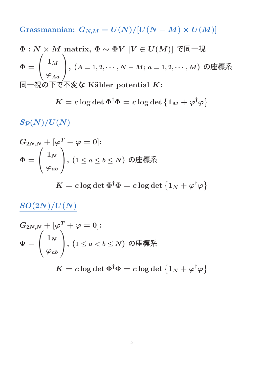Grassmannian:  $G_{N,M} = U(N)/[U(N-M) \times U(M)]$ 

$$
\Phi: N \times M \text{ matrix, } \Phi \sim \Phi V \ [V \in U(M)] \text{ } \mathfrak{E} \Box \negthinspace \mathcal{H}
$$
\n
$$
\Phi = \begin{pmatrix} 1_M \\ \varphi_{Aa} \end{pmatrix}, (A = 1, 2, \cdots, N - M; a = 1, 2, \cdots, M) \text{ } \mathcal{O} \boxtimes \mathcal{H} \mathbb{R}
$$
\n
$$
\Box \negthinspace \Box \Box \Box \Phi \mathcal{O} \top \mathcal{C} \wedge \Box \mathcal{D} \mathcal{S} \mathcal{L} \text{ Kähler potential } K:
$$

$$
K = c \log \det \Phi^\dagger \Phi = c \log \det \left\{ 1_M + \varphi^\dagger \varphi \right\}
$$

 $\frac{Sp(N)/U(N)}{D}$ 

$$
G_{2N,N}+[\varphi^T-\varphi=0]\!:\newline\Phi=\left(\begin{array}{c}1_N\\ \varphi_{ab}\end{array}\right)\!,\,(1\leq a\leq b\leq N)\:\:\text{の座機\ni\%}\newline
$$

 $K=c\log\det\Phi^\dagger\Phi=c\log\det\left\{1_N+\varphi^\dagger\varphi\right\}$ 

## $SO(2N)/U(N)$

$$
\begin{aligned} &G_{2N,N}+[\varphi^T+\varphi=0] \text{:} \\ &\Phi=\Bigg(\frac{1_N}{\varphi_{ab}}\Bigg), \ (1\leq a < b \leq N) \ \ \text{\O}]{\text{\large $\mathfrak{M}$}}{\text{\large $\mathfrak{M}$}}{\text{\large $\mathfrak{R}$}}{\text{\large $\mathfrak{R}$}}\end{aligned}
$$

 $K=c\log\det\Phi^\dagger\Phi=c\log\det\left\{1_N+\varphi^\dagger\varphi\right\}$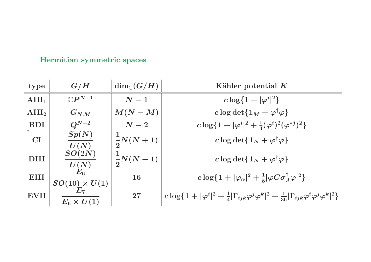| Hermitian symmetric spaces |  |
|----------------------------|--|
|                            |  |

| type                 | G/H                                      | $\dim_{\mathbb{C}}(G/H)$ | Kähler potential $K$                                                                                                              |
|----------------------|------------------------------------------|--------------------------|-----------------------------------------------------------------------------------------------------------------------------------|
| $\text{AIII}_1$      | $\mathbb{C}P^{N-1}$                      | $N-1$                    | $c \log\{1 +  \varphi^{i} ^{2}\}\$                                                                                                |
| $\text{AIII}_2$      | $G_{N,M}$                                | $M(N-M)$                 | c log det $\{1_M + \varphi^{\dagger} \varphi\}$                                                                                   |
| <b>BDI</b>           | $Q^{N-2}$                                | $\,N-2$                  | $c \log\{1 +  \varphi^i ^2 + \frac{1}{4}(\varphi^i)^2(\varphi^{*j})^2\}$                                                          |
| $\circ$<br><b>CI</b> | Sp(N)                                    | $\frac{1}{2}N(N+1)$      | c log det $\{1_N + \varphi^{\dagger} \varphi\}$                                                                                   |
| <b>DIII</b>          | $U(N)$<br>$SO(2N)$<br>$\frac{U(N)}{E_6}$ | $\frac{1}{2}N(N-1)$      | c log det $\{1_N + \varphi^{\dagger} \varphi\}$                                                                                   |
| <b>EIII</b>          | $SO(10)\times U(1) \ E_7$                | <b>16</b>                | $c \log\{1+ \varphi_{\alpha} ^{2}+\frac{1}{8} \varphi C\sigma_{A}^{\dagger}\varphi ^{2}\}$                                        |
| EVII                 | $\overline{E_6 \times U(1)}$             | 27                       | $c \log\{1+ \varphi^i ^2+\frac{1}{4} \Gamma_{ijk}\varphi^j\varphi^k ^2+\frac{1}{36} \Gamma_{ijk}\varphi^i\varphi^j\varphi^k ^2\}$ |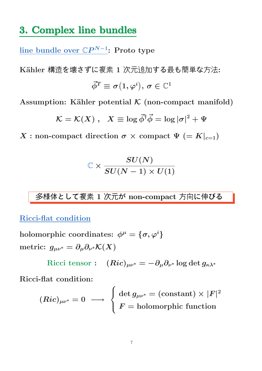## 3. Complex line bundles

 $\overline{\text{line bundle over } \mathbb{C}P^{N-1}}\text{:} \text{ Proto type}$ 

Kähler 構造を壊さずに複素 1 次元追加する最も簡単な方法:  $\vec{\phi}^T \equiv \sigma\big(1,\varphi^i\big),\,\sigma\in\mathbb{C}^1$ 

Assumption: Kähler potential  $K$  (non-compact manifold)

$$
\mathcal{K} = \mathcal{K}(X) \;,\;\; X \equiv \log \vec{\phi}^{\dagger} \vec{\phi} = \log |\sigma|^2 + \Psi
$$

X : non-compact direction  $\sigma \times$  compact  $\Psi$  (=  $K|_{c=1}$ )

$$
\mathbb{C}\times \frac{SU(N)}{SU(N-1)\times U(1)}
$$

多様体として複素 1 次元が non-compact 方向に伸びる

Ricci-flat condition

 $\text{holomorphic coordinates: } \phi^\mu = \{\sigma, \varphi^i\}$ metric:  $g_{\mu\nu^*} = \partial_\mu \partial_{\nu^*} \mathcal{K}(X)$ 

 $\text{Ricci tensor}: \ \ \ (Ric)_{\mu\nu^*}=-\partial_\mu\partial_{\nu^*}\log\det g_{\kappa\lambda^*}$ 

Ricci-flat condition:

$$
(Ric)_{\mu\nu^*}=0 \ \longrightarrow \ \left\{ \begin{aligned} \det g_{\mu\nu^*} &= (\text{constant})\times |F|^2 \\ F &= \text{holomorphic function} \end{aligned} \right.
$$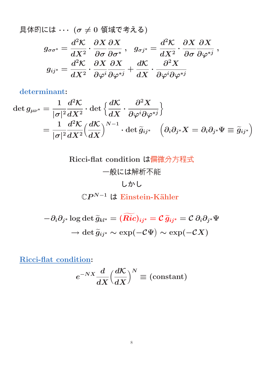具体的には  $\cdots$  ( $\sigma \neq 0$  領域で考える)  $g_{\sigma\sigma^*}=$  $\frac{d^2\mathcal{K}}{dt}$  $\overline{dX^2}$  .  $\boldsymbol{\partial X}$  $\partial \sigma$  $\boldsymbol{\partial X}$  $\partial\pmb{\sigma}^*$ ,  $g_{\sigma j^*} =$  $\frac{d^2\mathcal{K}}{dt}$  $\overline{dX^2}$  .  $\boldsymbol{\partial X}$  $\partial \sigma$  $\boldsymbol{\partial X}$  $\partial \varphi^{*j}$ ,  $g_{ij^*} =$  $d^2\mathcal{K}$  $\overline{dX^2}$  .  $\boldsymbol{\partial X}$  $\partial \varphi^i$  $\boldsymbol{\partial X}$  $\partial \varphi^{*j}$  $+$  $\frac{d\mathcal{K}}{dt}$  $dX$ ·  $\partial^2 X$  $\partial \varphi^i \partial \varphi^{*j}$ 

determinant:

$$
\det g_{\mu\nu^*} = \frac{1}{|\sigma|^2} \frac{d^2 \mathcal{K}}{dX^2} \cdot \det \left\{ \frac{d\mathcal{K}}{dX} \cdot \frac{\partial^2 X}{\partial \varphi^i \partial \varphi^{*j}} \right\}
$$
  
= 
$$
\frac{1}{|\sigma|^2} \frac{d^2 \mathcal{K}}{dX^2} \left( \frac{d\mathcal{K}}{dX} \right)^{N-1} \cdot \det \widetilde{g}_{ij^*} \quad \left( \partial_i \partial_{j^*} X = \partial_i \partial_{j^*} \Psi \equiv \widetilde{g}_{ij^*} \right)
$$

Ricci-flat condition は偏微分方程式 一般には解析不能 しかし  $\mathbb{C}P^{N-1}$  l $\operatorname{\mathsf{\mathcal{F}}}$  Einstein-Kähler

$$
-\partial_i\partial_{j^*}\log\det \widetilde{g}_{kl^*}=(\widetilde{Ric})_{ij^*}=\mathcal{C}\, \widetilde{g}_{ij^*}=\mathcal{C}\,\partial_i\partial_{j^*}\Psi\\ \to \det \widetilde{g}_{ij^*}\sim \exp(-\mathcal{C}\Psi)\sim \exp(-\mathcal{C}X)
$$

Ricci-flat condition:

$$
e^{-NX} \frac{d}{dX} \left(\frac{d\mathcal{K}}{dX}\right)^N \equiv \text{(constant)}
$$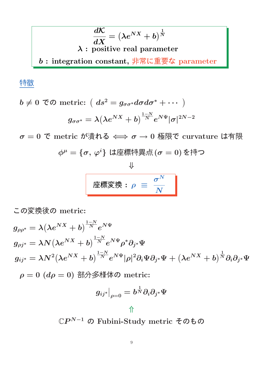$$
\frac{d\mathcal{K}}{dX} = \left(\lambda e^{NX} + b\right)^{\frac{1}{N}}
$$
  

$$
\lambda : \text{ positive real parameter}
$$
  

$$
b : \text{integration constant}, \frac{1}{1 + \frac{1}{N} \ln \mathbb{E} \mathbb{E} \mathbb{E} \mathbb{E} \mathbb{E} \mathbb{E} \text{ parameter}}
$$

#### 特徴

$$
b \neq 0 \text{ } \textcircled{c} \text{ } \text{metric: } \left( ds^2 = g_{\sigma\sigma^*} d\sigma d\sigma^* + \cdots \right)
$$

$$
g_{\sigma\sigma^*} = \lambda \left( \lambda e^{NX} + b \right)^{\frac{1-N}{N}} e^{N\Psi} |\sigma|^{2N-2}
$$

 $\sigma = 0$  で metric が潰れる  $\Longleftrightarrow \sigma \rightarrow 0$  極限で curvature は有限

$$
\phi^\mu = \{\sigma,\, \varphi^i\} \,\, \hbox{は座ٔ 煰特異点 (ơ = 0) を特つ
$$

$$
\frac{\psi}{\sqrt{\frac{\text{#}}{\text{#}}\mathcal{D}}\mathcal{D}}\left[\sqrt{\frac{\text{#}}{\text{#}}\mathcal{D}}\right]}
$$

この変換後の metric:

$$
g_{\rho\rho^*} = \lambda (\lambda e^{NX} + b)^{\frac{1-N}{N}} e^{N\Psi}
$$
  
\n
$$
g_{\rho j^*} = \lambda N (\lambda e^{NX} + b)^{\frac{1-N}{N}} e^{N\Psi} \rho^* \partial_{j^*} \Psi
$$
  
\n
$$
g_{ij^*} = \lambda N^2 (\lambda e^{NX} + b)^{\frac{1-N}{N}} e^{N\Psi} |\rho|^2 \partial_i \Psi \partial_{j^*} \Psi + (\lambda e^{NX} + b)^{\frac{1}{N}} \partial_i \partial_{j^*} \Psi
$$
  
\n
$$
\rho = 0 \ (d\rho = 0) \ \exists \beta \exists \forall \exists \forall \forall \phi \text{ metric:}
$$

$$
g_{ij^*}\big|_{\rho=0}=b^{\frac{1}{N}}\partial_i\partial_{j^*}\Psi
$$

 $\mathbb{C}P^{N-1}$  の Fubini-Study metric そのもの

⇑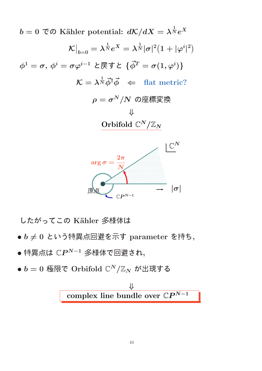$b=0$  To Kähler potential:  $d{\cal K}/dX=\lambda^{\frac{1}{N}}e^X$ K  $\overline{\phantom{a}}$  $\big|_{b=0} = \lambda^{\frac{1}{N}} e^X = \lambda^{\frac{1}{N}} |\sigma|^2 \big( 1 + |\varphi^i|$ |  $\overline{2}$  $\phi^1=\sigma,\,\phi^i=\sigma\varphi^{i-1}$  と戻すと  $\{\vec{\phi}^T=\sigma(1,\varphi^i)\}$  $\mathcal{K} = \lambda^{\frac{1}{N}} \vec{\phi}^{\dagger} \vec{\phi} \;\; \Leftarrow \;\; \text{flat metric?}$  $\rho = \sigma^N/N$  の座標変換 ⇓ Orbifold  $\mathbb{C}^N/\mathbb{Z}_N$ 



したがってこの Kähler 多様体は

- $\bullet$   $b \neq 0$  という特異点回避を示す parameter を持ち,
- $\bullet$  特異点は  $\mathbb{C}P^{N-1}$  多様体で回避され,
- $\bullet~b=0$  極限で Orbifold  $\mathbb{C}^N/\mathbb{Z}_N$  が出現する

$$
\Downarrow
$$
 complex line bundle over  $\mathbb{C}P^{N-1}$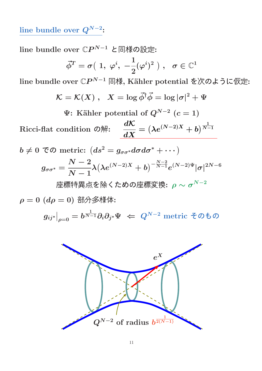line bundle over  $Q^{N-2}$ :

line bundle over  $\mathbb{C}P^{N-1}$  と同様の設定:

$$
\vec{\phi}^T = \sigma\big(\;1,\;\varphi^i,\;-\frac{1}{2}(\varphi^i)^2\;\big)\;,\;\;\sigma\in\mathbb{C}^1
$$

line bundle over  $\mathbb{C}P^{N-1}$  同様, Kähler potential を次のように仮定:

$$
\mathcal{K} = \mathcal{K}(X) \; , \; \; X = \log \vec{\phi}^{\dagger} \vec{\phi} = \log |\sigma|^2 + \Psi
$$

 $\Psi$ : Kähler potential of  $Q^{N-2}$   $(c=1)$ 

Ricci-flat condition の解:  $\frac{d\mathcal{K}}{dt}$  $\boldsymbol{dX}$  $=\left(\lambda e^{(N-2)X}+b\right)^{\frac{1}{N-2}}$  $N-1$ 

 $b\neq 0$  TO metric:  $(ds^{2}=g_{\sigma\sigma^{\ast}}d\sigma d\sigma^{\ast}+\cdots)$  $g_{\sigma\sigma^*}=$  $\frac{N-2}{2}$  $N-1$  $\lambda \big(\lambda e^{(N-2)X}+b\big)^{-{N-2\over N-1}} e^{(N-2)\Psi}|\sigma|^{2N-6}$ 

座�特異点を除くための座攈変換: 
$$
\rho \sim \sigma^{N-2}
$$

 $\rho = 0$   $(d\rho = 0)$  部分多様体:

 $g_{ij^*}\big|$  $\big|_{\rho=0}=b^{\frac{1}{N-1}}\partial_i\partial_{j^*}\Psi\,\,\Leftarrow\,\,Q^{N-2}\,\,\text{metric}\,\,$ そのもの

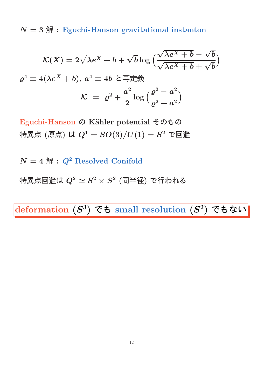$N = 3$   $\mathbb{H}$  : Eguchi-Hanson gravitational instanton

$$
\mathcal{K}(X) = 2\sqrt{\lambda e^X + b} + \sqrt{b} \log \left( \frac{\sqrt{\lambda e^X + b} - \sqrt{b}}{\sqrt{\lambda e^X + b} + \sqrt{b}} \right)
$$

$$
\varrho^4 \equiv 4(\lambda e^X + b), \ a^4 \equiv 4b \ \mathcal{L} \overline{\text{H}} \overline{\text{H}} \overline{\text{H}} \overline{\text{H}}
$$

$$
\mathcal{K} = \ \varrho^2 + \frac{a^2}{2} \log \left( \frac{\varrho^2 - a^2}{\varrho^2 + a^2} \right)
$$

Eguchi-Hanson の Kähler potential そのもの 特異点 (原点) は  $Q^1=SO(3)/U(1)=S^2$  で回避

 $N = 4$   $\mathbb{H}$  :  $Q^2$  Resolved Conifold

特異点回避は  $Q^2 \simeq S^2 \times S^2$  (同半径) で行われる

deformation  $(S^3)$  でも small resolution  $(S^2)$  でもない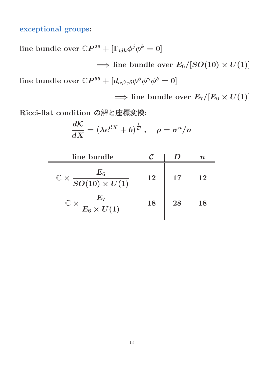#### exceptional groups:

line bundle over  $\mathbb{C}P^{26} + [\Gamma_{ijk} \phi^j \phi^k = 0]$ 

 $\implies$  line bundle over  $E_6/[SO(10) \times U(1)]$ line bundle over  $\mathbb{C}P^{55} + [d_{\alpha\beta\gamma\delta}\phi^{\beta}\phi^{\gamma}\phi^{\delta} = 0]$ 

 $\implies$  line bundle over  $E_7/[E_6 \times U(1)]$ 

Ricci-flat condition の解と座標変換:

$$
\frac{d\mathcal{K}}{dX}=\left(\lambda e^{\mathcal{C}X}+b\right)^{\frac{1}{D}}\,,\quad \rho=\sigma^n/n
$$

| line bundle                                            |    |    | TI. |
|--------------------------------------------------------|----|----|-----|
| $\frac{E_6}{SO(10)\times U(1)}$<br>$\mathbb{C} \times$ | 12 | 17 | 12  |
| $\mathbb{C}\times \frac{E_7}{E_6\times U(1)}$          | 18 | 28 | 18  |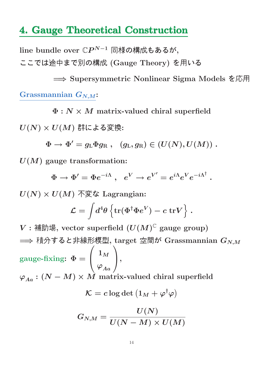## 4. Gauge Theoretical Construction

line bundle over  $\mathbb{C}P^{N-1}$  同様の構成もあるが, ここでは途中まで別の構成 (Gauge Theory) を用いる

=⇒ Supersymmetric Nonlinear Sigma Models を応用 Grassmannian  $G_{N,M}$ :

 $\Phi : N \times M$  matrix-valued chiral superfield

 $U(N) \times U(M)$ 群による変換:

 $\Phi \rightarrow \Phi'=g_{\rm L}\Phi g_{\rm R} \ , \ \ \ (g_{\rm L},g_{\rm R})\in (U(N),U(M)) \ .$ 

 $U(M)$  gauge transformation:

 $\Phi \rightarrow \Phi' = \Phi e^{-i\Lambda} \ , \ \ e^V \rightarrow e^{V'} = e^{i\Lambda} e^V e^{-i\Lambda^\dagger} \ .$ 

 $U(N) \times U(M)$  不変な Lagrangian:

$$
\mathcal{L}=\int\!d^4\theta\left\{\mathrm{tr}(\Phi^\dagger\Phi e^V)-c~\mathrm{tr}V\right\}\,.
$$

 $V:$  補助場, vector superfield  $(U(M)^{\mathbb{C}}$  gauge group)  $\implies$  積分すると非線形模型, target 空間が Grassmannian  $G_{N,M}$ gauge-fixing:  $\Phi =$  $\overline{1}$  $\mathbf{I}$  $\mathbf{1}_M$  $\overline{\varphi}_{Aa}$  $\setminus$ ,  $\varphi_{Aa} : (N-M) \times \hat{M}$  matrix-valued chiral superfield  $\mathcal{K} = c \log \det \left( 1_M + \varphi^\dagger \varphi \right)$  $/$   $\sqrt{ }$ 

$$
G_{N,M}=\frac{U(N)}{U(N-M)\times U(M)}
$$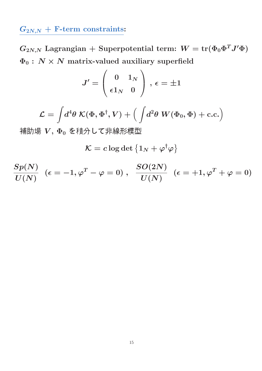## $G_{2N,N}$  + F-term constraints:

 $G_{2N,N}$  Lagrangian + Superpotential term:  $W = \text{tr}(\Phi_0 \Phi^T J' \Phi)$  $\Phi_0$ :  $N \times N$  matrix-valued auxiliary superfield

$$
J'=\left(\begin{array}{cc} 0 & 1_N \\ \epsilon 1_N & 0 \end{array}\right)\,,\,\epsilon=\pm 1
$$

$$
\mathcal{L} = \int \! d^4 \theta \; \mathcal{K}(\Phi,\Phi^\dagger,V) + \Big( \int \! d^2 \theta \; W(\Phi_0,\Phi) + \text{c.c.} \Big)
$$

補助場  $V, \Phi_0$ を積分して非線形模型

 $\mathcal{K} = c \log \det \left\{ 1_N + \varphi^\dagger \varphi \right\}$ 

$$
\frac{Sp(N)}{U(N)}\;\;(\epsilon=-1,\varphi^T-\varphi=0)\;,\;\;\frac{SO(2N)}{U(N)}\;\;(\epsilon=+1,\varphi^T+\varphi=0)
$$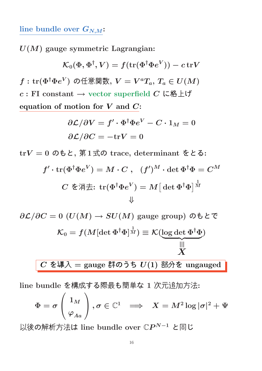#### line bundle over  $G_{N,M}$ :

 $U(M)$  gauge symmetric Lagrangian:

$$
\mathcal{K}_0(\Phi,\Phi^\dagger,V)=f(\text{tr}(\Phi^\dagger\Phi e^V))-c\,\text{tr} V
$$

 $f:\operatorname{tr}(\Phi^\dagger \Phi e^V)$  の任意関数,  $V=V^aT_a,$   $T_a\in U(M)$  $c : \text{FI}$  constant  $\rightarrow$  vector superfield  $C$  に格上げ equation of motion for  $V$  and  $C$ :

$$
\begin{aligned} & \partial \mathcal{L}/\partial V = f' \cdot \Phi^\dagger \Phi e^V - C \cdot 1_M = 0 \\ & \partial \mathcal{L}/\partial C = -\text{tr} V = 0 \end{aligned}
$$

trV = 0 のもと, 第1式の trace, determinant をとる:

$$
f'\cdot \mathrm{tr}(\Phi^\dagger \Phi e^V) = M \cdot C \ , \quad (f')^M \cdot \det \Phi^\dagger \Phi = C^M
$$
  

$$
C \ \check \Phi \H \ddot\exists \colon \mathrm{tr}(\Phi^\dagger \Phi e^V) = M \big[\det \Phi^\dagger \Phi \big]^{\frac{1}{M}}
$$

$$
\partial \mathcal{L}/\partial C = 0 \ (U(M) \to SU(M) \text{ gauge group}) \ \partial \mathbf{t} \mathcal{L} \mathcal{L}
$$
\n
$$
\mathcal{K}_0 = f(M[\det \Phi^\dagger \Phi]^\frac{1}{M}) \equiv \mathcal{K}(\underbrace{\log \det \Phi^\dagger \Phi}_{X})
$$
\n
$$
C \ \mathbf{\hat{t}} \oplus \mathbf{\hat{t}} \mathcal{L} = \text{gauge }\mathbf{\hat{t}} \oplus \mathbf{\hat{t}} \mathcal{D} \mathbf{\hat{t}} \mathbf{U}(1) \mathbf{\hat{t}} \mathbf{\hat{t}} \mathcal{D} \mathbf{\hat{t}} \mathbf{\hat{t}} \text{ungauged}
$$

line bundle を構成する際最も簡単な 1 次元追加方法:

$$
\Phi=\sigma\left(\frac{1_M}{\varphi_{Aa}}\right), \sigma\in\mathbb{C}^1\;\;\Longrightarrow\;\;X=M^2\log|\sigma|^2+\Psi
$$

以後の解析方法は line bundle over ℂ $P^{N-1}$  と同じ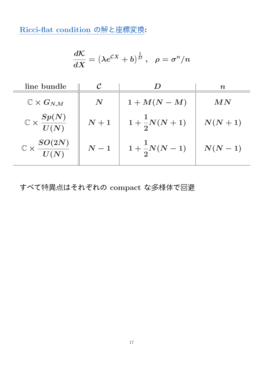Ricci-flat condition の解と座標変換:

$$
\frac{d\mathcal{K}}{dX}=\left(\lambda e^{\mathcal{C}X}+b\right)^{\frac{1}{D}}\,,\ \ \rho=\sigma^n/n
$$

| line bundle                            |                  |                         | $\boldsymbol{n}$ |
|----------------------------------------|------------------|-------------------------|------------------|
| $\mathbb{C}\times G_{N,M}$             | $\boldsymbol{N}$ | $1+M(N-M)$              | MN               |
| $\mathbb{C}\times\frac{Sp(N)}{U(N)}$   | $\,N+1$          | $1+\frac{1}{2}N(N+1)$   | $N(N+1)$         |
| $\mathbb{C}\times \frac{SO(2N)}{U(N)}$ | $N-1$            | $1 + \frac{1}{2}N(N-1)$ | $N(N-1)$         |

すべて特異点はそれぞれの compact な多様体で回避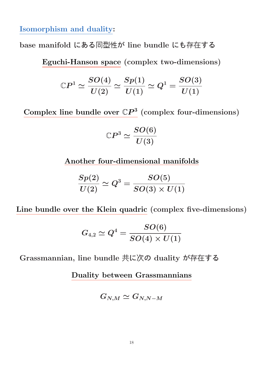Isomorphism and duality:

base manifold にある同型性が line bundle にも存在する

Eguchi-Hanson space (complex two-dimensions)

$$
{\Bbb C}P^{1}\simeq \frac{SO(4)}{U(2)}\simeq \frac{Sp(1)}{U(1)}\simeq Q^{1}=\frac{SO(3)}{U(1)}
$$

Complex line bundle over  $\mathbb{C}P^3$  (complex four-dimensions)

$$
\mathbb{C}P^3 \simeq \frac{SO(6)}{U(3)}
$$

Another four-dimensional manifolds

$$
\frac{Sp(2)}{U(2)}\simeq Q^3=\frac{SO(5)}{SO(3)\times U(1)}
$$

Line bundle over the Klein quadric (complex five-dimensions)

$$
G_{4,2}\simeq Q^4=\frac{SO(6)}{SO(4)\times U(1)}
$$

Grassmannian, line bundle 共に次の duality が存在する

Duality between Grassmannians

$$
G_{N,M}\simeq G_{N,N-M}
$$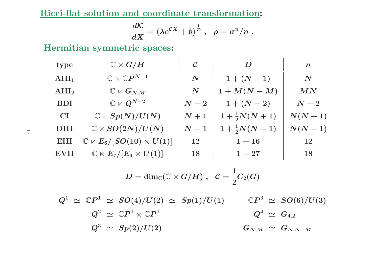Ricci-flat solution and coordinate transformation:

$$
\frac{d{\cal K}}{dX}=\left(\lambda e^{{\cal C}X}+b\right)^{\frac{1}{D}}\,,\ \ \rho=\sigma^n/n\;.
$$

Hermitian symmetric spaces:

| type            | $\mathbb{C}\ltimes G/H$                       | $\cal C$           | D                     | $\boldsymbol{n}$   |
|-----------------|-----------------------------------------------|--------------------|-----------------------|--------------------|
| $\text{AIII}_1$ | $\mathbb{C}\ltimes \mathbb{C}P^{N-1}$         | $\boldsymbol{N}$   | $1 + (N - 1)$         | $\boldsymbol{N}$   |
| $\text{AIII}_2$ | $\mathbb{C}\ltimes G_{N,M}$                   | $\boldsymbol{N}$   | $1+M(N-M)$            | MN                 |
| <b>BDI</b>      | $\mathbb{C}\ltimes Q^{N-2}$                   | $\boldsymbol{N-2}$ | $1 + (N - 2)$         | $\boldsymbol{N-2}$ |
| <b>CI</b>       | $\mathbb{C} \ltimes Sp(N)/U(N)$               | $\boldsymbol{N+1}$ | $1+\frac{1}{2}N(N+1)$ | $N(N+1)$           |
| <b>DIII</b>     | $\mathbb{C} \ltimes SO(2N)/U(N)$              | $\boldsymbol{N-1}$ | $1+\frac{1}{2}N(N-1)$ | $N(N-1)$           |
| EIII            | $\mathbb{C} \ltimes E_6/[SO(10) \times U(1)]$ | <b>12</b>          | $1 + 16$              | 12                 |
| <b>EVII</b>     | $\mathbb{C} \ltimes E_7/[E_6 \times U(1)]$    | 18                 | $1 + 27$              | 18                 |

$$
D = \dim_\mathbb{C} (\mathbb{C} \ltimes G/H) \;,\;\; \mathcal{C} = \frac{1}{2} C_2(G)
$$

 $Q^1 \,\, \simeq \,\, \mathbb{C}P^1 \,\, \simeq \,\, SO(4)/U(2) \,\, \simeq \,\, Sp(1)/U(1)$  $Q^2 \,\, \simeq \,\, \mathbb{C}P^1 \times \mathbb{C}P^1$  $\mathbb{C}P^3 \ \simeq \ SO(6)/U(3)$  $Q^3 \,\,\simeq\,\, Sp(2)/U(2)$  $Q^4 \,\, \simeq \,\, G_{4,2}$  $G_{N,M}\;\simeq\;G_{N,N-M}$ 

19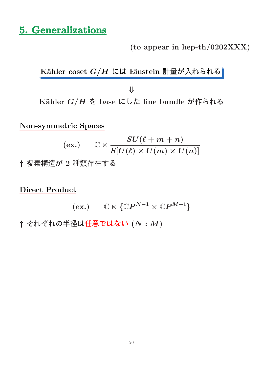## 5. Generalizations

(to appear in hep-th/0202XXX)

Kähler coset  $G/H$  には Einstein 計量が入れられる

⇓ Kähler  $G/H$  を base にした line bundle が作られる

Non-symmetric Spaces

$$
\text{(ex.)} \qquad \mathbb{C} \ltimes \frac{SU(\ell+m+n)}{S[U(\ell) \times U(m) \times U(n)]}
$$
† 殮素構造が 2 種類存在する

Direct Product

$$
(\mathrm{ex.}) \qquad \mathbb{C} \ltimes \{ \mathbb{C}P^{N-1} \times \mathbb{C}P^{M-1} \}
$$

 $\dagger$  それぞれの半径は任意ではない $(N: M)$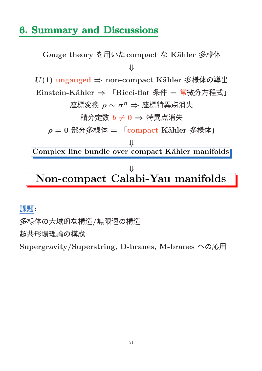## 6. Summary and Discussions

Gauge theory を用いた compact な Kähler 多様体 ⇓  $U(1)$  ungauged  $\Rightarrow$  non-compact Kähler 多様体の導出 Einstein-Kähler ⇒ 「Ricci-flat 条件 = 常微分方程式」  $\mathbb{E}$ 標変換  $\rho \sim \sigma^n \Rightarrow \mathbb{E}$ 標特異点消失 積分定数  $b \neq 0$  ⇒ 特異点消失  $\rho = 0$  部分多様体 =  $\Gamma$ compact Kähler 多様体」 ⇓ Complex line bundle over compact Kähler manifolds  $\overline{\mathcal{X}}$ Non-compact Calabi-Yau manifolds

課題:

多様体の大域的な構造/無限遠の構造

超共形場理論の構成

Supergravity/Superstring, D-branes, M-branes への応用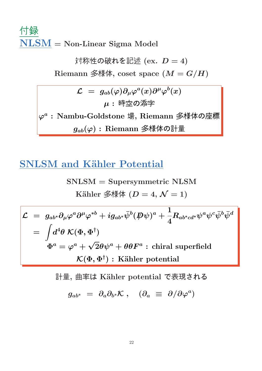# 付録 NLSM = Non-Linear Sigma Model

対称性の破れを記述 $(ex. D = 4)$ Riemann 多様体, coset space  $(M = G/H)$  $\mathcal{L} \,\,=\,\, g_{ab}(\varphi) \partial_\mu \varphi^a(x) \partial^\mu \varphi^b(x)$ 

 $\varphi^a$ :Nambu-Goldstone 場, Riemann 多様体の座標  $g_{ab}(\varphi)$ : Riemann 多様体の計量

 $\mu$ : 時空の添字

## **SNLSM and Kähler Potential**

$$
SNLSM = Supersymmetric NLSM
$$
  
\nKähler  $\hat{\mathcal{Z}}\hat{\n \pi}\hat{\n \pi}$   $(D = 4, \mathcal{N} = 1)$ 

$$
\mathcal{L} = g_{ab^*} \partial_\mu \varphi^a \partial^\mu \varphi^{*b} + i g_{ab^*} \bar{\psi}^b (\not\!\!D \psi)^a + \frac{1}{4} R_{ab^*cd^*} \psi^a \psi^c \bar{\psi}^b \bar{\psi}^d
$$
\n
$$
= \int d^4 \theta \; \mathcal{K}(\Phi, \Phi^\dagger)
$$
\n
$$
\Phi^a = \varphi^a + \sqrt{2} \theta \psi^a + \theta \theta F^a : \text{chiral superfield}
$$
\n
$$
\mathcal{K}(\Phi, \Phi^\dagger) : \text{Kähler potential}
$$

計量,曲率は Kähler potential で表現される

$$
g_{ab^*} \,\,=\,\, \partial_a \partial_{b^*} \mathcal{K} \;,\quad (\partial_a \,\,\equiv\,\, \partial/\partial \varphi^a)
$$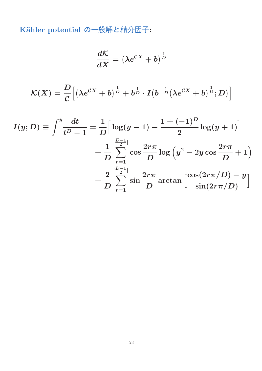Kähler potential の一般解と積分因子:

$$
\frac{d\mathcal{K}}{dX} = \left(\lambda e^{\mathcal{C}X} + b\right)^{\frac{1}{D}}
$$

$$
\mathcal{K}(X) = \frac{D}{\mathcal{C}} \Big[ \left( \lambda e^{\mathcal{C}X} + b \right)^{\frac{1}{D}} + b^{\frac{1}{D}} \cdot I \left( b^{-\frac{1}{D}} (\lambda e^{\mathcal{C}X} + b)^{\frac{1}{D}}; D \right) \Big]
$$

$$
I(y; D) \equiv \int^y \frac{dt}{t^D - 1} = \frac{1}{D} \Big[ \log(y - 1) - \frac{1 + (-1)^D}{2} \log(y + 1) \Big] + \frac{1}{D} \sum_{r=1}^{\left[\frac{D-1}{2}\right]} \cos \frac{2r\pi}{D} \log \Big( y^2 - 2y \cos \frac{2r\pi}{D} + 1 \Big) + \frac{2}{D} \sum_{r=1}^{\left[\frac{D-1}{2}\right]} \sin \frac{2r\pi}{D} \arctan \Big[ \frac{\cos(2r\pi/D) - y}{\sin(2r\pi/D)} \Big]
$$